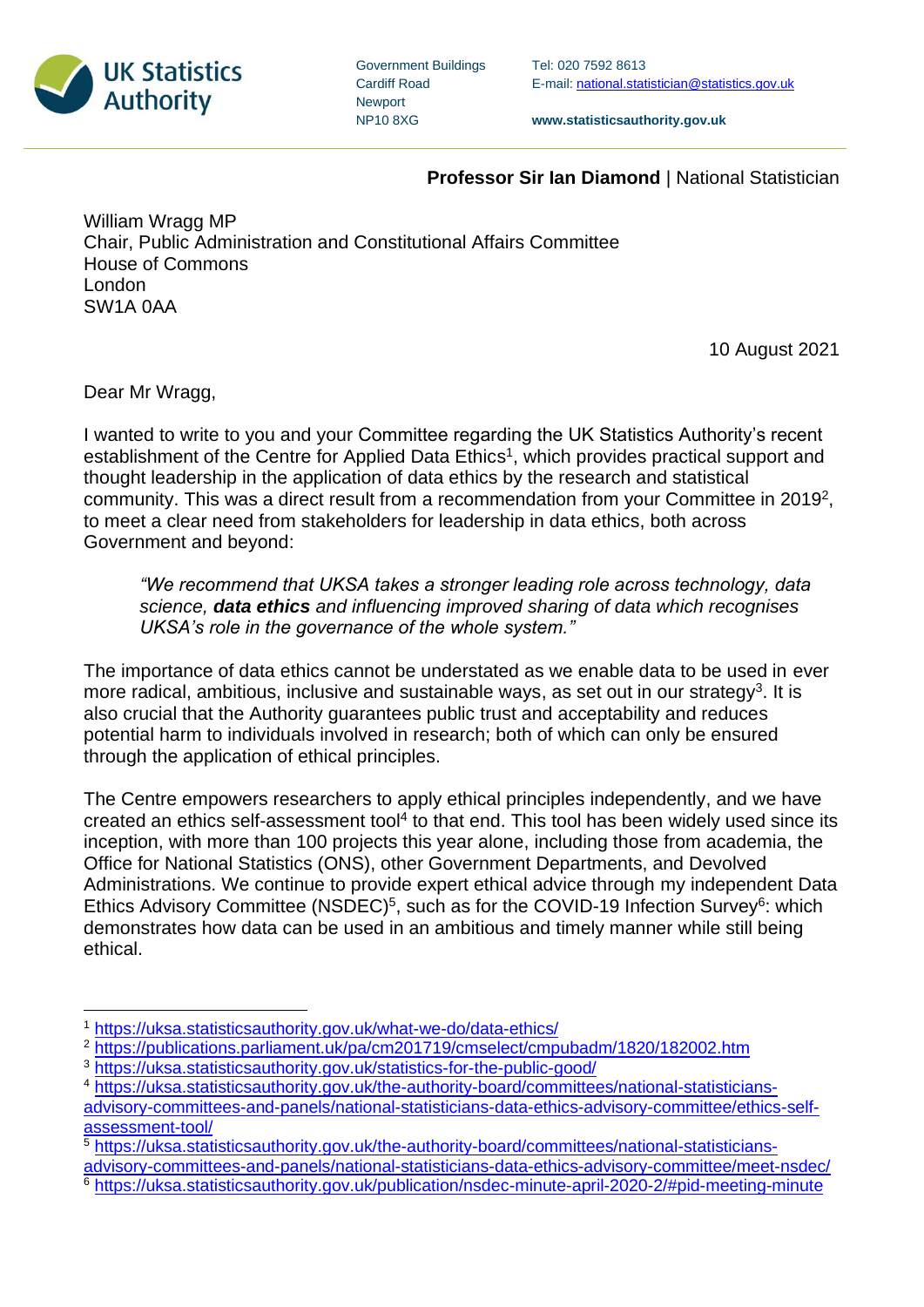

| <b>Government Buildings</b> |
|-----------------------------|
| <b>Cardiff Road</b>         |
| <b>Newport</b>              |
| <b>NP108XG</b>              |

Tel: 020 7592 8613 E-mail[: national.statistician@statistics.gov.uk](mailto:national.statistician@statistics.gov.uk)

**www.statisticsauthority.gov.uk**

## **Professor Sir Ian Diamond** | National Statistician

William Wragg MP Chair, Public Administration and Constitutional Affairs Committee House of Commons London SW1A 0AA

10 August 2021

Dear Mr Wragg,

I wanted to write to you and your Committee regarding the UK Statistics Authority's recent establishment of the Centre for Applied Data Ethics<sup>1</sup>, which provides practical support and thought leadership in the application of data ethics by the research and statistical community. This was a direct result from a recommendation from your Committee in 2019<sup>2</sup>, to meet a clear need from stakeholders for leadership in data ethics, both across Government and beyond:

*"We recommend that UKSA takes a stronger leading role across technology, data science, data ethics and influencing improved sharing of data which recognises UKSA's role in the governance of the whole system."*

The importance of data ethics cannot be understated as we enable data to be used in ever more radical, ambitious, inclusive and sustainable ways, as set out in our strategy<sup>3</sup>. It is also crucial that the Authority guarantees public trust and acceptability and reduces potential harm to individuals involved in research; both of which can only be ensured through the application of ethical principles.

The Centre empowers researchers to apply ethical principles independently, and we have created an ethics self-assessment tool<sup>4</sup> to that end. This tool has been widely used since its inception, with more than 100 projects this year alone, including those from academia, the Office for National Statistics (ONS), other Government Departments, and Devolved Administrations. We continue to provide expert ethical advice through my independent Data Ethics Advisory Committee (NSDEC)<sup>5</sup>, such as for the COVID-19 Infection Survey<sup>6</sup>: which demonstrates how data can be used in an ambitious and timely manner while still being ethical.

<sup>1</sup> <https://uksa.statisticsauthority.gov.uk/what-we-do/data-ethics/>

<sup>&</sup>lt;sup>2</sup> <https://publications.parliament.uk/pa/cm201719/cmselect/cmpubadm/1820/182002.htm>

<sup>3</sup> <https://uksa.statisticsauthority.gov.uk/statistics-for-the-public-good/>

<sup>4</sup> [https://uksa.statisticsauthority.gov.uk/the-authority-board/committees/national-statisticians](https://uksa.statisticsauthority.gov.uk/the-authority-board/committees/national-statisticians-advisory-committees-and-panels/national-statisticians-data-ethics-advisory-committee/ethics-self-assessment-tool/)[advisory-committees-and-panels/national-statisticians-data-ethics-advisory-committee/ethics-self](https://uksa.statisticsauthority.gov.uk/the-authority-board/committees/national-statisticians-advisory-committees-and-panels/national-statisticians-data-ethics-advisory-committee/ethics-self-assessment-tool/)[assessment-tool/](https://uksa.statisticsauthority.gov.uk/the-authority-board/committees/national-statisticians-advisory-committees-and-panels/national-statisticians-data-ethics-advisory-committee/ethics-self-assessment-tool/)

<sup>&</sup>lt;sup>5</sup> [https://uksa.statisticsauthority.gov.uk/the-authority-board/committees/national-statisticians-](https://uksa.statisticsauthority.gov.uk/the-authority-board/committees/national-statisticians-advisory-committees-and-panels/national-statisticians-data-ethics-advisory-committee/meet-nsdec/)

[advisory-committees-and-panels/national-statisticians-data-ethics-advisory-committee/meet-nsdec/](https://uksa.statisticsauthority.gov.uk/the-authority-board/committees/national-statisticians-advisory-committees-and-panels/national-statisticians-data-ethics-advisory-committee/meet-nsdec/)

<sup>&</sup>lt;sup>6</sup> <https://uksa.statisticsauthority.gov.uk/publication/nsdec-minute-april-2020-2/#pid-meeting-minute>